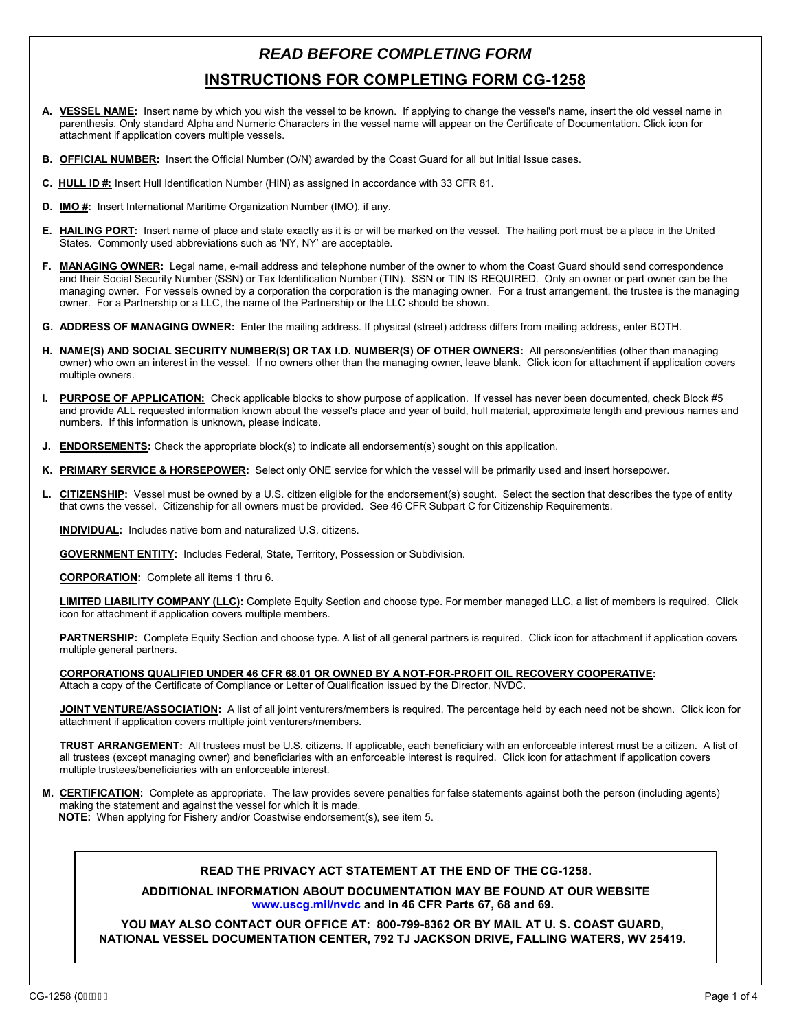## *READ BEFORE COMPLETING FORM* **INSTRUCTIONS FOR COMPLETING FORM CG-1258**

- **A. VESSEL NAME:** Insert name by which you wish the vessel to be known. If applying to change the vessel's name, insert the old vessel name in parenthesis. Only standard Alpha and Numeric Characters in the vessel name will appear on the Certificate of Documentation. Click icon for attachment if application covers multiple vessels.
- **B. OFFICIAL NUMBER:** Insert the Official Number (O/N) awarded by the Coast Guard for all but Initial Issue cases.
- **C. HULL ID #:** Insert Hull Identification Number (HIN) as assigned in accordance with 33 CFR 81.
- **D. IMO #:** Insert International Maritime Organization Number (IMO), if any.
- **E. HAILING PORT:** Insert name of place and state exactly as it is or will be marked on the vessel. The hailing port must be a place in the United States. Commonly used abbreviations such as 'NY, NY' are acceptable.
- **F. MANAGING OWNER:** Legal name, e-mail address and telephone number of the owner to whom the Coast Guard should send correspondence and their Social Security Number (SSN) or Tax Identification Number (TIN). SSN or TIN IS REQUIRED. Only an owner or part owner can be the managing owner. For vessels owned by a corporation the corporation is the managing owner. For a trust arrangement, the trustee is the managing owner. For a Partnership or a LLC, the name of the Partnership or the LLC should be shown.
- **G. ADDRESS OF MANAGING OWNER:** Enter the mailing address. If physical (street) address differs from mailing address, enter BOTH.
- **H. NAME(S) AND SOCIAL SECURITY NUMBER(S) OR TAX I.D. NUMBER(S) OF OTHER OWNERS:** All persons/entities (other than managing owner) who own an interest in the vessel. If no owners other than the managing owner, leave blank. Click icon for attachment if application covers multiple owners.
- **I. PURPOSE OF APPLICATION:** Check applicable blocks to show purpose of application. If vessel has never been documented, check Block #5 and provide ALL requested information known about the vessel's place and year of build, hull material, approximate length and previous names and numbers. If this information is unknown, please indicate.
- **J. ENDORSEMENTS:** Check the appropriate block(s) to indicate all endorsement(s) sought on this application.
- **K. PRIMARY SERVICE & HORSEPOWER:** Select only ONE service for which the vessel will be primarily used and insert horsepower.
- **L. CITIZENSHIP:** Vessel must be owned by a U.S. citizen eligible for the endorsement(s) sought. Select the section that describes the type of entity that owns the vessel. Citizenship for all owners must be provided. See 46 CFR Subpart C for Citizenship Requirements.

**INDIVIDUAL:** Includes native born and naturalized U.S. citizens.

**GOVERNMENT ENTITY:** Includes Federal, State, Territory, Possession or Subdivision.

**CORPORATION:** Complete all items 1 thru 6.

**LIMITED LIABILITY COMPANY (LLC):** Complete Equity Section and choose type. For member managed LLC, a list of members is required. Click icon for attachment if application covers multiple members.

PARTNERSHIP: Complete Equity Section and choose type. A list of all general partners is required. Click icon for attachment if application covers multiple general partners.

**CORPORATIONS QUALIFIED UNDER 46 CFR 68.01 OR OWNED BY A NOT-FOR-PROFIT OIL RECOVERY COOPERATIVE:**

Attach a copy of the Certificate of Compliance or Letter of Qualification issued by the Director, NVDC.

**JOINT VENTURE/ASSOCIATION:** A list of all joint venturers/members is required. The percentage held by each need not be shown. Click icon for attachment if application covers multiple joint venturers/members.

**TRUST ARRANGEMENT:** All trustees must be U.S. citizens. If applicable, each beneficiary with an enforceable interest must be a citizen. A list of all trustees (except managing owner) and beneficiaries with an enforceable interest is required. Click icon for attachment if application covers multiple trustees/beneficiaries with an enforceable interest.

**M. CERTIFICATION:** Complete as appropriate. The law provides severe penalties for false statements against both the person (including agents) making the statement and against the vessel for which it is made. **NOTE:** When applying for Fishery and/or Coastwise endorsement(s), see item 5.

## **READ THE PRIVACY ACT STATEMENT AT THE END OF THE CG-1258.**

**ADDITIONAL INFORMATION ABOUT DOCUMENTATION MAY BE FOUND AT OUR WEBSITE [www.uscg.mil/nvdc a](www.uscg.mil/nvdc)nd in 46 CFR Parts 67, 68 and 69.** 

**YOU MAY ALSO CONTACT OUR OFFICE AT: 800-799-8362 OR BY MAIL AT U. S. COAST GUARD, NATIONAL VESSEL DOCUMENTATION CENTER, 792 TJ JACKSON DRIVE, FALLING WATERS, WV 25419.**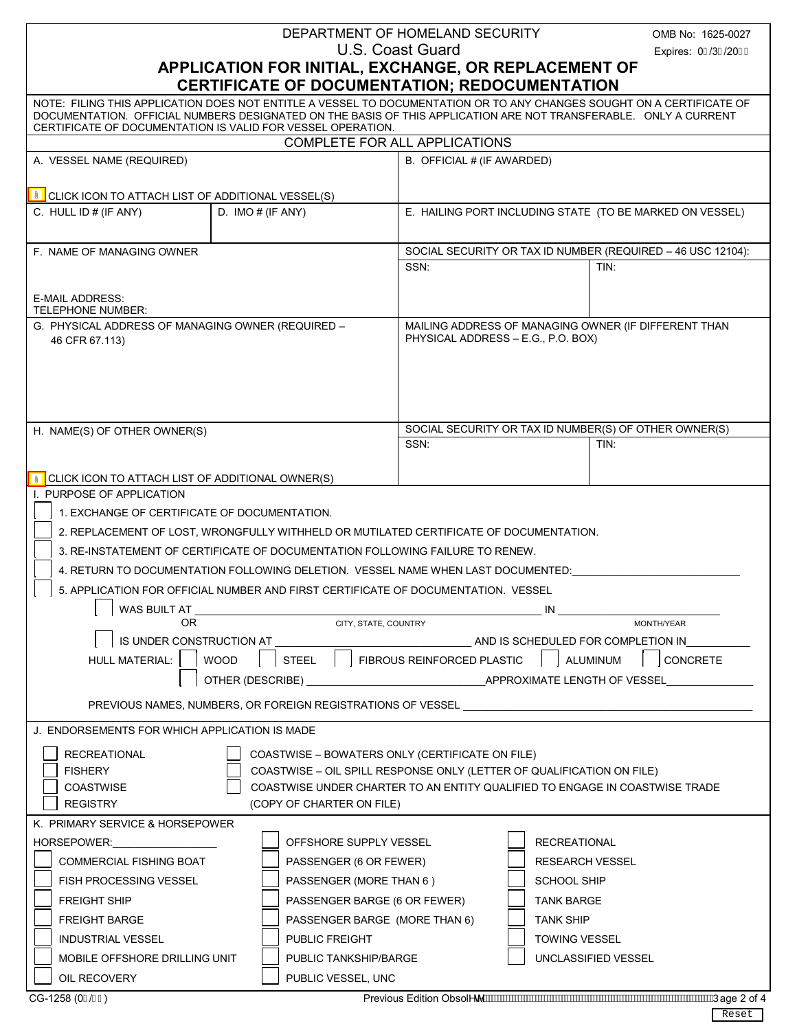| DEPARTMENT OF HOMELAND SECURITY                                                                                                                                                                                                                                                                          |                                                                                        |                                                                       | OMB No: 1625-0027                                                           |  |
|----------------------------------------------------------------------------------------------------------------------------------------------------------------------------------------------------------------------------------------------------------------------------------------------------------|----------------------------------------------------------------------------------------|-----------------------------------------------------------------------|-----------------------------------------------------------------------------|--|
|                                                                                                                                                                                                                                                                                                          |                                                                                        | U.S. Coast Guard                                                      | Expires: 0I /3€/20GH                                                        |  |
| APPLICATION FOR INITIAL, EXCHANGE, OR REPLACEMENT OF                                                                                                                                                                                                                                                     |                                                                                        |                                                                       |                                                                             |  |
|                                                                                                                                                                                                                                                                                                          | CERTIFICATE OF DOCUMENTATION; REDOCUMENTATION                                          |                                                                       |                                                                             |  |
| NOTE: FILING THIS APPLICATION DOES NOT ENTITLE A VESSEL TO DOCUMENTATION OR TO ANY CHANGES SOUGHT ON A CERTIFICATE OF<br>DOCUMENTATION. OFFICIAL NUMBERS DESIGNATED ON THE BASIS OF THIS APPLICATION ARE NOT TRANSFERABLE. ONLY A CURRENT<br>CERTIFICATE OF DOCUMENTATION IS VALID FOR VESSEL OPERATION. |                                                                                        |                                                                       |                                                                             |  |
|                                                                                                                                                                                                                                                                                                          |                                                                                        | COMPLETE FOR ALL APPLICATIONS                                         |                                                                             |  |
| A. VESSEL NAME (REQUIRED)                                                                                                                                                                                                                                                                                |                                                                                        | B. OFFICIAL # (IF AWARDED)                                            |                                                                             |  |
|                                                                                                                                                                                                                                                                                                          |                                                                                        |                                                                       |                                                                             |  |
| CLICK ICON TO ATTACH LIST OF ADDITIONAL VESSEL(S)                                                                                                                                                                                                                                                        |                                                                                        |                                                                       |                                                                             |  |
| C. HULL ID # (IF ANY)                                                                                                                                                                                                                                                                                    | D. IMO $#$ (IF ANY)                                                                    |                                                                       | E. HAILING PORT INCLUDING STATE (TO BE MARKED ON VESSEL)                    |  |
| F. NAME OF MANAGING OWNER                                                                                                                                                                                                                                                                                |                                                                                        | SOCIAL SECURITY OR TAX ID NUMBER (REQUIRED - 46 USC 12104):           |                                                                             |  |
|                                                                                                                                                                                                                                                                                                          |                                                                                        | SSN:                                                                  | TIN:                                                                        |  |
| <b>E-MAIL ADDRESS:</b>                                                                                                                                                                                                                                                                                   |                                                                                        |                                                                       |                                                                             |  |
| <b>TELEPHONE NUMBER:</b>                                                                                                                                                                                                                                                                                 |                                                                                        |                                                                       |                                                                             |  |
| G. PHYSICAL ADDRESS OF MANAGING OWNER (REQUIRED -<br>46 CFR 67.113)                                                                                                                                                                                                                                      |                                                                                        | PHYSICAL ADDRESS - E.G., P.O. BOX)                                    | MAILING ADDRESS OF MANAGING OWNER (IF DIFFERENT THAN                        |  |
|                                                                                                                                                                                                                                                                                                          |                                                                                        |                                                                       |                                                                             |  |
| H. NAME(S) OF OTHER OWNER(S)                                                                                                                                                                                                                                                                             |                                                                                        |                                                                       | SOCIAL SECURITY OR TAX ID NUMBER(S) OF OTHER OWNER(S)                       |  |
|                                                                                                                                                                                                                                                                                                          |                                                                                        | SSN:                                                                  | TIN:                                                                        |  |
|                                                                                                                                                                                                                                                                                                          |                                                                                        |                                                                       |                                                                             |  |
| CLICK ICON TO ATTACH LIST OF ADDITIONAL OWNER(S)<br>I. PURPOSE OF APPLICATION                                                                                                                                                                                                                            |                                                                                        |                                                                       |                                                                             |  |
| 1. EXCHANGE OF CERTIFICATE OF DOCUMENTATION.                                                                                                                                                                                                                                                             |                                                                                        |                                                                       |                                                                             |  |
|                                                                                                                                                                                                                                                                                                          | 2. REPLACEMENT OF LOST, WRONGFULLY WITHHELD OR MUTILATED CERTIFICATE OF DOCUMENTATION. |                                                                       |                                                                             |  |
|                                                                                                                                                                                                                                                                                                          | 3. RE-INSTATEMENT OF CERTIFICATE OF DOCUMENTATION FOLLOWING FAILURE TO RENEW.          |                                                                       |                                                                             |  |
|                                                                                                                                                                                                                                                                                                          |                                                                                        |                                                                       |                                                                             |  |
|                                                                                                                                                                                                                                                                                                          | 4. RETURN TO DOCUMENTATION FOLLOWING DELETION. VESSEL NAME WHEN LAST DOCUMENTED:       |                                                                       |                                                                             |  |
|                                                                                                                                                                                                                                                                                                          | 5. APPLICATION FOR OFFICIAL NUMBER AND FIRST CERTIFICATE OF DOCUMENTATION. VESSEL      |                                                                       |                                                                             |  |
| WAS BUILT AT<br>0R                                                                                                                                                                                                                                                                                       | CITY, STATE, COUNTRY                                                                   |                                                                       | IN<br>MONTH/YEAR                                                            |  |
|                                                                                                                                                                                                                                                                                                          | IS UNDER CONSTRUCTION AT<br>AND IS SCHEDULED FOR COMPLETION IN                         |                                                                       |                                                                             |  |
| FIBROUS REINFORCED PLASTIC<br><b>STEEL</b><br>HULL MATERIAL:<br><b>WOOD</b>                                                                                                                                                                                                                              |                                                                                        |                                                                       | ALUMINUM<br>CONCRETE                                                        |  |
|                                                                                                                                                                                                                                                                                                          |                                                                                        |                                                                       |                                                                             |  |
| PREVIOUS NAMES, NUMBERS, OR FOREIGN REGISTRATIONS OF VESSEL _____________________                                                                                                                                                                                                                        |                                                                                        |                                                                       |                                                                             |  |
| J. ENDORSEMENTS FOR WHICH APPLICATION IS MADE                                                                                                                                                                                                                                                            |                                                                                        |                                                                       |                                                                             |  |
|                                                                                                                                                                                                                                                                                                          |                                                                                        |                                                                       |                                                                             |  |
| COASTWISE - BOWATERS ONLY (CERTIFICATE ON FILE)<br><b>RECREATIONAL</b>                                                                                                                                                                                                                                   |                                                                                        |                                                                       |                                                                             |  |
| <b>FISHERY</b>                                                                                                                                                                                                                                                                                           |                                                                                        | COASTWISE - OIL SPILL RESPONSE ONLY (LETTER OF QUALIFICATION ON FILE) |                                                                             |  |
| <b>COASTWISE</b><br><b>REGISTRY</b>                                                                                                                                                                                                                                                                      | (COPY OF CHARTER ON FILE)                                                              |                                                                       | COASTWISE UNDER CHARTER TO AN ENTITY QUALIFIED TO ENGAGE IN COASTWISE TRADE |  |
| K. PRIMARY SERVICE & HORSEPOWER                                                                                                                                                                                                                                                                          |                                                                                        |                                                                       |                                                                             |  |
| HORSEPOWER:                                                                                                                                                                                                                                                                                              | OFFSHORE SUPPLY VESSEL                                                                 |                                                                       | <b>RECREATIONAL</b>                                                         |  |
| <b>COMMERCIAL FISHING BOAT</b>                                                                                                                                                                                                                                                                           |                                                                                        |                                                                       | <b>RESEARCH VESSEL</b>                                                      |  |
| PASSENGER (6 OR FEWER)                                                                                                                                                                                                                                                                                   |                                                                                        |                                                                       | SCHOOL SHIP                                                                 |  |
| <b>FISH PROCESSING VESSEL</b><br>PASSENGER (MORE THAN 6)                                                                                                                                                                                                                                                 |                                                                                        |                                                                       | <b>TANK BARGE</b>                                                           |  |
| PASSENGER BARGE (6 OR FEWER)<br><b>FREIGHT SHIP</b>                                                                                                                                                                                                                                                      |                                                                                        |                                                                       |                                                                             |  |
| PASSENGER BARGE (MORE THAN 6)<br><b>FREIGHT BARGE</b>                                                                                                                                                                                                                                                    |                                                                                        |                                                                       | <b>TANK SHIP</b>                                                            |  |
| <b>INDUSTRIAL VESSEL</b><br>PUBLIC FREIGHT                                                                                                                                                                                                                                                               |                                                                                        |                                                                       | <b>TOWING VESSEL</b>                                                        |  |
| MOBILE OFFSHORE DRILLING UNIT<br>PUBLIC TANKSHIP/BARGE<br>UNCLASSIFIED VESSEL                                                                                                                                                                                                                            |                                                                                        |                                                                       |                                                                             |  |
| OIL RECOVERY<br>CG-1258 (0Í /G€)                                                                                                                                                                                                                                                                         | PUBLIC VESSEL, UNC                                                                     |                                                                       |                                                                             |  |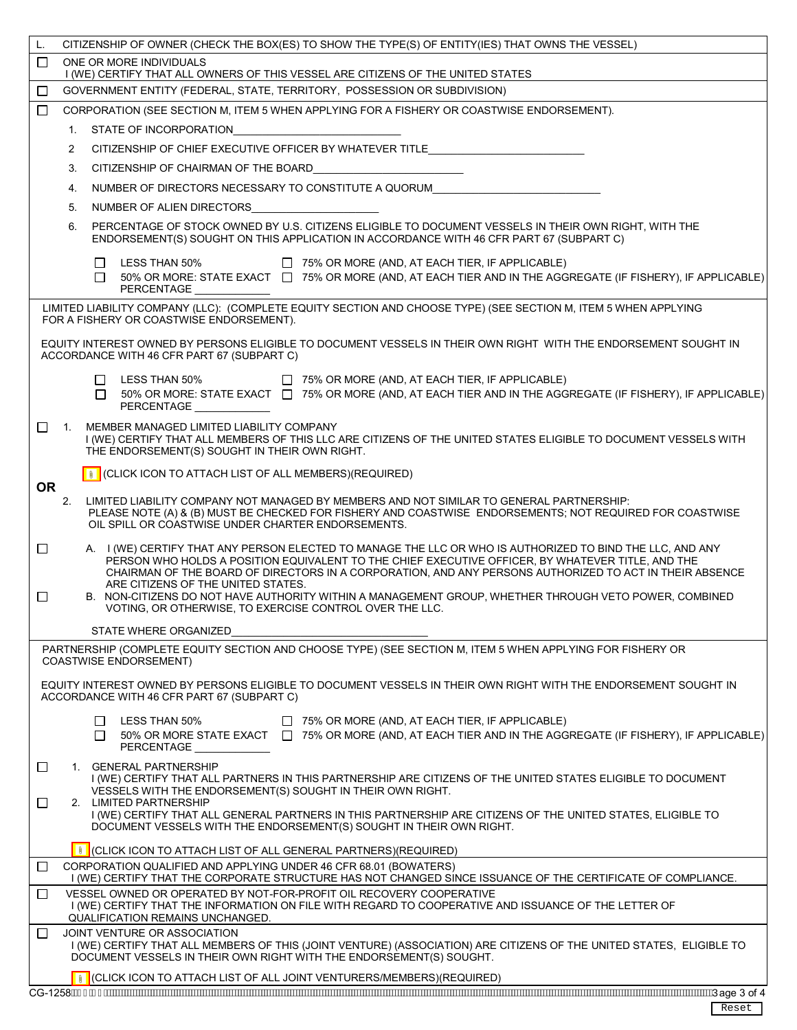| ONE OR MORE INDIVIDUALS<br>П<br>I (WE) CERTIFY THAT ALL OWNERS OF THIS VESSEL ARE CITIZENS OF THE UNITED STATES<br>GOVERNMENT ENTITY (FEDERAL, STATE, TERRITORY, POSSESSION OR SUBDIVISION)<br>$\Box$<br>CORPORATION (SEE SECTION M, ITEM 5 WHEN APPLYING FOR A FISHERY OR COASTWISE ENDORSEMENT).<br>$\Box$<br>STATE OF INCORPORATION<br>1.<br>CITIZENSHIP OF CHIEF EXECUTIVE OFFICER BY WHATEVER TITLE<br>$\overline{2}$<br>3.<br>CITIZENSHIP OF CHAIRMAN OF THE BOARD<br>NUMBER OF DIRECTORS NECESSARY TO CONSTITUTE A QUORUM<br>4.<br>5.<br>NUMBER OF ALIEN DIRECTORS<br>PERCENTAGE OF STOCK OWNED BY U.S. CITIZENS ELIGIBLE TO DOCUMENT VESSELS IN THEIR OWN RIGHT, WITH THE<br>6.<br>ENDORSEMENT(S) SOUGHT ON THIS APPLICATION IN ACCORDANCE WITH 46 CFR PART 67 (SUBPART C)<br>LESS THAN 50%<br>$\Box$ 75% OR MORE (AND, AT EACH TIER, IF APPLICABLE)<br>$\perp$<br>50% OR MORE: STATE EXACT   75% OR MORE (AND, AT EACH TIER AND IN THE AGGREGATE (IF FISHERY), IF APPLICABLE)<br>П<br><b>PERCENTAGE</b><br>LIMITED LIABILITY COMPANY (LLC): (COMPLETE EQUITY SECTION AND CHOOSE TYPE) (SEE SECTION M, ITEM 5 WHEN APPLYING<br>FOR A FISHERY OR COASTWISE ENDORSEMENT).<br>EQUITY INTEREST OWNED BY PERSONS ELIGIBLE TO DOCUMENT VESSELS IN THEIR OWN RIGHT WITH THE ENDORSEMENT SOUGHT IN<br>ACCORDANCE WITH 46 CFR PART 67 (SUBPART C)<br>LESS THAN 50% □ 75% OR MORE (AND, AT EACH TIER, IF APPLICABLE)<br>ப<br>□ 50% OR MORE: STATE EXACT □ 75% OR MORE (AND, AT EACH TIER AND IN THE AGGREGATE (IF FISHERY), IF APPLICABLE)<br><b>PERCENTAGE</b><br>П<br>1.<br>MEMBER MANAGED LIMITED LIABILITY COMPANY<br>I (WE) CERTIFY THAT ALL MEMBERS OF THIS LLC ARE CITIZENS OF THE UNITED STATES ELIGIBLE TO DOCUMENT VESSELS WITH<br>THE ENDORSEMENT(S) SOUGHT IN THEIR OWN RIGHT.<br><b>I</b> (CLICK ICON TO ATTACH LIST OF ALL MEMBERS) (REQUIRED)<br><b>OR</b><br>2.<br>LIMITED LIABILITY COMPANY NOT MANAGED BY MEMBERS AND NOT SIMILAR TO GENERAL PARTNERSHIP:<br>PLEASE NOTE (A) & (B) MUST BE CHECKED FOR FISHERY AND COASTWISE ENDORSEMENTS; NOT REQUIRED FOR COASTWISE<br>OIL SPILL OR COASTWISE UNDER CHARTER ENDORSEMENTS.<br>A. I (WE) CERTIFY THAT ANY PERSON ELECTED TO MANAGE THE LLC OR WHO IS AUTHORIZED TO BIND THE LLC, AND ANY<br>$\Box$<br>PERSON WHO HOLDS A POSITION EQUIVALENT TO THE CHIEF EXECUTIVE OFFICER, BY WHATEVER TITLE, AND THE<br>CHAIRMAN OF THE BOARD OF DIRECTORS IN A CORPORATION, AND ANY PERSONS AUTHORIZED TO ACT IN THEIR ABSENCE<br>ARE CITIZENS OF THE UNITED STATES.<br>B. NON-CITIZENS DO NOT HAVE AUTHORITY WITHIN A MANAGEMENT GROUP, WHETHER THROUGH VETO POWER, COMBINED<br>□<br>VOTING, OR OTHERWISE, TO EXERCISE CONTROL OVER THE LLC.<br>STATE WHERE ORGANIZED<br>PARTNERSHIP (COMPLETE EQUITY SECTION AND CHOOSE TYPE) (SEE SECTION M, ITEM 5 WHEN APPLYING FOR FISHERY OR<br><b>COASTWISE ENDORSEMENT)</b><br>EQUITY INTEREST OWNED BY PERSONS ELIGIBLE TO DOCUMENT VESSELS IN THEIR OWN RIGHT WITH THE ENDORSEMENT SOUGHT IN<br>ACCORDANCE WITH 46 CFR PART 67 (SUBPART C)<br>LESS THAN 50%<br>$\Box$ 75% OR MORE (AND, AT EACH TIER, IF APPLICABLE)<br>$\Box$<br>50% OR MORE STATE EXACT $\Box$ 75% OR MORE (AND, AT EACH TIER AND IN THE AGGREGATE (IF FISHERY), IF APPLICABLE)<br>П<br>PERCENTAGE<br>1. GENERAL PARTNERSHIP<br>□<br>I (WE) CERTIFY THAT ALL PARTNERS IN THIS PARTNERSHIP ARE CITIZENS OF THE UNITED STATES ELIGIBLE TO DOCUMENT<br>VESSELS WITH THE ENDORSEMENT(S) SOUGHT IN THEIR OWN RIGHT.<br>□<br>2. LIMITED PARTNERSHIP<br>I (WE) CERTIFY THAT ALL GENERAL PARTNERS IN THIS PARTNERSHIP ARE CITIZENS OF THE UNITED STATES, ELIGIBLE TO<br>DOCUMENT VESSELS WITH THE ENDORSEMENT(S) SOUGHT IN THEIR OWN RIGHT.<br>I CLICK ICON TO ATTACH LIST OF ALL GENERAL PARTNERS)(REQUIRED)<br>CORPORATION QUALIFIED AND APPLYING UNDER 46 CFR 68.01 (BOWATERS)<br>$\Box$<br>I (WE) CERTIFY THAT THE CORPORATE STRUCTURE HAS NOT CHANGED SINCE ISSUANCE OF THE CERTIFICATE OF COMPLIANCE.<br>VESSEL OWNED OR OPERATED BY NOT-FOR-PROFIT OIL RECOVERY COOPERATIVE<br>$\perp$<br>I (WE) CERTIFY THAT THE INFORMATION ON FILE WITH REGARD TO COOPERATIVE AND ISSUANCE OF THE LETTER OF<br>QUALIFICATION REMAINS UNCHANGED.<br>JOINT VENTURE OR ASSOCIATION<br>$\Box$<br>I (WE) CERTIFY THAT ALL MEMBERS OF THIS (JOINT VENTURE) (ASSOCIATION) ARE CITIZENS OF THE UNITED STATES, ELIGIBLE TO<br>DOCUMENT VESSELS IN THEIR OWN RIGHT WITH THE ENDORSEMENT(S) SOUGHT.<br>CLICK ICON TO ATTACH LIST OF ALL JOINT VENTURERS/MEMBERS)(REQUIRED) | CITIZENSHIP OF OWNER (CHECK THE BOX(ES) TO SHOW THE TYPE(S) OF ENTITY(IES) THAT OWNS THE VESSEL)<br>L. |  |  |  |
|--------------------------------------------------------------------------------------------------------------------------------------------------------------------------------------------------------------------------------------------------------------------------------------------------------------------------------------------------------------------------------------------------------------------------------------------------------------------------------------------------------------------------------------------------------------------------------------------------------------------------------------------------------------------------------------------------------------------------------------------------------------------------------------------------------------------------------------------------------------------------------------------------------------------------------------------------------------------------------------------------------------------------------------------------------------------------------------------------------------------------------------------------------------------------------------------------------------------------------------------------------------------------------------------------------------------------------------------------------------------------------------------------------------------------------------------------------------------------------------------------------------------------------------------------------------------------------------------------------------------------------------------------------------------------------------------------------------------------------------------------------------------------------------------------------------------------------------------------------------------------------------------------------------------------------------------------------------------------------------------------------------------------------------------------------------------------------------------------------------------------------------------------------------------------------------------------------------------------------------------------------------------------------------------------------------------------------------------------------------------------------------------------------------------------------------------------------------------------------------------------------------------------------------------------------------------------------------------------------------------------------------------------------------------------------------------------------------------------------------------------------------------------------------------------------------------------------------------------------------------------------------------------------------------------------------------------------------------------------------------------------------------------------------------------------------------------------------------------------------------------------------------------------------------------------------------------------------------------------------------------------------------------------------------------------------------------------------------------------------------------------------------------------------------------------------------------------------------------------------------------------------------------------------------------------------------------------------------------------------------------------------------------------------------------------------------------------------------------------------------------------------------------------------------------------------------------------------------------------------------------------------------------------------------------------------------------------------------------------------------------------------------------------------------------------------------------------------------------------------------------------------------------------------------------------------------------------------------------------------------------------------------------------------------------------------------------------------------------------------------------------------------------------------------------------------------------------------------------------------------------------------------|--------------------------------------------------------------------------------------------------------|--|--|--|
|                                                                                                                                                                                                                                                                                                                                                                                                                                                                                                                                                                                                                                                                                                                                                                                                                                                                                                                                                                                                                                                                                                                                                                                                                                                                                                                                                                                                                                                                                                                                                                                                                                                                                                                                                                                                                                                                                                                                                                                                                                                                                                                                                                                                                                                                                                                                                                                                                                                                                                                                                                                                                                                                                                                                                                                                                                                                                                                                                                                                                                                                                                                                                                                                                                                                                                                                                                                                                                                                                                                                                                                                                                                                                                                                                                                                                                                                                                                                                                                                                                                                                                                                                                                                                                                                                                                                                                                                                                                                                                                    |                                                                                                        |  |  |  |
|                                                                                                                                                                                                                                                                                                                                                                                                                                                                                                                                                                                                                                                                                                                                                                                                                                                                                                                                                                                                                                                                                                                                                                                                                                                                                                                                                                                                                                                                                                                                                                                                                                                                                                                                                                                                                                                                                                                                                                                                                                                                                                                                                                                                                                                                                                                                                                                                                                                                                                                                                                                                                                                                                                                                                                                                                                                                                                                                                                                                                                                                                                                                                                                                                                                                                                                                                                                                                                                                                                                                                                                                                                                                                                                                                                                                                                                                                                                                                                                                                                                                                                                                                                                                                                                                                                                                                                                                                                                                                                                    |                                                                                                        |  |  |  |
|                                                                                                                                                                                                                                                                                                                                                                                                                                                                                                                                                                                                                                                                                                                                                                                                                                                                                                                                                                                                                                                                                                                                                                                                                                                                                                                                                                                                                                                                                                                                                                                                                                                                                                                                                                                                                                                                                                                                                                                                                                                                                                                                                                                                                                                                                                                                                                                                                                                                                                                                                                                                                                                                                                                                                                                                                                                                                                                                                                                                                                                                                                                                                                                                                                                                                                                                                                                                                                                                                                                                                                                                                                                                                                                                                                                                                                                                                                                                                                                                                                                                                                                                                                                                                                                                                                                                                                                                                                                                                                                    |                                                                                                        |  |  |  |
|                                                                                                                                                                                                                                                                                                                                                                                                                                                                                                                                                                                                                                                                                                                                                                                                                                                                                                                                                                                                                                                                                                                                                                                                                                                                                                                                                                                                                                                                                                                                                                                                                                                                                                                                                                                                                                                                                                                                                                                                                                                                                                                                                                                                                                                                                                                                                                                                                                                                                                                                                                                                                                                                                                                                                                                                                                                                                                                                                                                                                                                                                                                                                                                                                                                                                                                                                                                                                                                                                                                                                                                                                                                                                                                                                                                                                                                                                                                                                                                                                                                                                                                                                                                                                                                                                                                                                                                                                                                                                                                    |                                                                                                        |  |  |  |
|                                                                                                                                                                                                                                                                                                                                                                                                                                                                                                                                                                                                                                                                                                                                                                                                                                                                                                                                                                                                                                                                                                                                                                                                                                                                                                                                                                                                                                                                                                                                                                                                                                                                                                                                                                                                                                                                                                                                                                                                                                                                                                                                                                                                                                                                                                                                                                                                                                                                                                                                                                                                                                                                                                                                                                                                                                                                                                                                                                                                                                                                                                                                                                                                                                                                                                                                                                                                                                                                                                                                                                                                                                                                                                                                                                                                                                                                                                                                                                                                                                                                                                                                                                                                                                                                                                                                                                                                                                                                                                                    |                                                                                                        |  |  |  |
|                                                                                                                                                                                                                                                                                                                                                                                                                                                                                                                                                                                                                                                                                                                                                                                                                                                                                                                                                                                                                                                                                                                                                                                                                                                                                                                                                                                                                                                                                                                                                                                                                                                                                                                                                                                                                                                                                                                                                                                                                                                                                                                                                                                                                                                                                                                                                                                                                                                                                                                                                                                                                                                                                                                                                                                                                                                                                                                                                                                                                                                                                                                                                                                                                                                                                                                                                                                                                                                                                                                                                                                                                                                                                                                                                                                                                                                                                                                                                                                                                                                                                                                                                                                                                                                                                                                                                                                                                                                                                                                    |                                                                                                        |  |  |  |
|                                                                                                                                                                                                                                                                                                                                                                                                                                                                                                                                                                                                                                                                                                                                                                                                                                                                                                                                                                                                                                                                                                                                                                                                                                                                                                                                                                                                                                                                                                                                                                                                                                                                                                                                                                                                                                                                                                                                                                                                                                                                                                                                                                                                                                                                                                                                                                                                                                                                                                                                                                                                                                                                                                                                                                                                                                                                                                                                                                                                                                                                                                                                                                                                                                                                                                                                                                                                                                                                                                                                                                                                                                                                                                                                                                                                                                                                                                                                                                                                                                                                                                                                                                                                                                                                                                                                                                                                                                                                                                                    |                                                                                                        |  |  |  |
|                                                                                                                                                                                                                                                                                                                                                                                                                                                                                                                                                                                                                                                                                                                                                                                                                                                                                                                                                                                                                                                                                                                                                                                                                                                                                                                                                                                                                                                                                                                                                                                                                                                                                                                                                                                                                                                                                                                                                                                                                                                                                                                                                                                                                                                                                                                                                                                                                                                                                                                                                                                                                                                                                                                                                                                                                                                                                                                                                                                                                                                                                                                                                                                                                                                                                                                                                                                                                                                                                                                                                                                                                                                                                                                                                                                                                                                                                                                                                                                                                                                                                                                                                                                                                                                                                                                                                                                                                                                                                                                    |                                                                                                        |  |  |  |
|                                                                                                                                                                                                                                                                                                                                                                                                                                                                                                                                                                                                                                                                                                                                                                                                                                                                                                                                                                                                                                                                                                                                                                                                                                                                                                                                                                                                                                                                                                                                                                                                                                                                                                                                                                                                                                                                                                                                                                                                                                                                                                                                                                                                                                                                                                                                                                                                                                                                                                                                                                                                                                                                                                                                                                                                                                                                                                                                                                                                                                                                                                                                                                                                                                                                                                                                                                                                                                                                                                                                                                                                                                                                                                                                                                                                                                                                                                                                                                                                                                                                                                                                                                                                                                                                                                                                                                                                                                                                                                                    |                                                                                                        |  |  |  |
|                                                                                                                                                                                                                                                                                                                                                                                                                                                                                                                                                                                                                                                                                                                                                                                                                                                                                                                                                                                                                                                                                                                                                                                                                                                                                                                                                                                                                                                                                                                                                                                                                                                                                                                                                                                                                                                                                                                                                                                                                                                                                                                                                                                                                                                                                                                                                                                                                                                                                                                                                                                                                                                                                                                                                                                                                                                                                                                                                                                                                                                                                                                                                                                                                                                                                                                                                                                                                                                                                                                                                                                                                                                                                                                                                                                                                                                                                                                                                                                                                                                                                                                                                                                                                                                                                                                                                                                                                                                                                                                    |                                                                                                        |  |  |  |
|                                                                                                                                                                                                                                                                                                                                                                                                                                                                                                                                                                                                                                                                                                                                                                                                                                                                                                                                                                                                                                                                                                                                                                                                                                                                                                                                                                                                                                                                                                                                                                                                                                                                                                                                                                                                                                                                                                                                                                                                                                                                                                                                                                                                                                                                                                                                                                                                                                                                                                                                                                                                                                                                                                                                                                                                                                                                                                                                                                                                                                                                                                                                                                                                                                                                                                                                                                                                                                                                                                                                                                                                                                                                                                                                                                                                                                                                                                                                                                                                                                                                                                                                                                                                                                                                                                                                                                                                                                                                                                                    |                                                                                                        |  |  |  |
|                                                                                                                                                                                                                                                                                                                                                                                                                                                                                                                                                                                                                                                                                                                                                                                                                                                                                                                                                                                                                                                                                                                                                                                                                                                                                                                                                                                                                                                                                                                                                                                                                                                                                                                                                                                                                                                                                                                                                                                                                                                                                                                                                                                                                                                                                                                                                                                                                                                                                                                                                                                                                                                                                                                                                                                                                                                                                                                                                                                                                                                                                                                                                                                                                                                                                                                                                                                                                                                                                                                                                                                                                                                                                                                                                                                                                                                                                                                                                                                                                                                                                                                                                                                                                                                                                                                                                                                                                                                                                                                    |                                                                                                        |  |  |  |
|                                                                                                                                                                                                                                                                                                                                                                                                                                                                                                                                                                                                                                                                                                                                                                                                                                                                                                                                                                                                                                                                                                                                                                                                                                                                                                                                                                                                                                                                                                                                                                                                                                                                                                                                                                                                                                                                                                                                                                                                                                                                                                                                                                                                                                                                                                                                                                                                                                                                                                                                                                                                                                                                                                                                                                                                                                                                                                                                                                                                                                                                                                                                                                                                                                                                                                                                                                                                                                                                                                                                                                                                                                                                                                                                                                                                                                                                                                                                                                                                                                                                                                                                                                                                                                                                                                                                                                                                                                                                                                                    |                                                                                                        |  |  |  |
|                                                                                                                                                                                                                                                                                                                                                                                                                                                                                                                                                                                                                                                                                                                                                                                                                                                                                                                                                                                                                                                                                                                                                                                                                                                                                                                                                                                                                                                                                                                                                                                                                                                                                                                                                                                                                                                                                                                                                                                                                                                                                                                                                                                                                                                                                                                                                                                                                                                                                                                                                                                                                                                                                                                                                                                                                                                                                                                                                                                                                                                                                                                                                                                                                                                                                                                                                                                                                                                                                                                                                                                                                                                                                                                                                                                                                                                                                                                                                                                                                                                                                                                                                                                                                                                                                                                                                                                                                                                                                                                    |                                                                                                        |  |  |  |
|                                                                                                                                                                                                                                                                                                                                                                                                                                                                                                                                                                                                                                                                                                                                                                                                                                                                                                                                                                                                                                                                                                                                                                                                                                                                                                                                                                                                                                                                                                                                                                                                                                                                                                                                                                                                                                                                                                                                                                                                                                                                                                                                                                                                                                                                                                                                                                                                                                                                                                                                                                                                                                                                                                                                                                                                                                                                                                                                                                                                                                                                                                                                                                                                                                                                                                                                                                                                                                                                                                                                                                                                                                                                                                                                                                                                                                                                                                                                                                                                                                                                                                                                                                                                                                                                                                                                                                                                                                                                                                                    |                                                                                                        |  |  |  |
|                                                                                                                                                                                                                                                                                                                                                                                                                                                                                                                                                                                                                                                                                                                                                                                                                                                                                                                                                                                                                                                                                                                                                                                                                                                                                                                                                                                                                                                                                                                                                                                                                                                                                                                                                                                                                                                                                                                                                                                                                                                                                                                                                                                                                                                                                                                                                                                                                                                                                                                                                                                                                                                                                                                                                                                                                                                                                                                                                                                                                                                                                                                                                                                                                                                                                                                                                                                                                                                                                                                                                                                                                                                                                                                                                                                                                                                                                                                                                                                                                                                                                                                                                                                                                                                                                                                                                                                                                                                                                                                    |                                                                                                        |  |  |  |
|                                                                                                                                                                                                                                                                                                                                                                                                                                                                                                                                                                                                                                                                                                                                                                                                                                                                                                                                                                                                                                                                                                                                                                                                                                                                                                                                                                                                                                                                                                                                                                                                                                                                                                                                                                                                                                                                                                                                                                                                                                                                                                                                                                                                                                                                                                                                                                                                                                                                                                                                                                                                                                                                                                                                                                                                                                                                                                                                                                                                                                                                                                                                                                                                                                                                                                                                                                                                                                                                                                                                                                                                                                                                                                                                                                                                                                                                                                                                                                                                                                                                                                                                                                                                                                                                                                                                                                                                                                                                                                                    |                                                                                                        |  |  |  |
|                                                                                                                                                                                                                                                                                                                                                                                                                                                                                                                                                                                                                                                                                                                                                                                                                                                                                                                                                                                                                                                                                                                                                                                                                                                                                                                                                                                                                                                                                                                                                                                                                                                                                                                                                                                                                                                                                                                                                                                                                                                                                                                                                                                                                                                                                                                                                                                                                                                                                                                                                                                                                                                                                                                                                                                                                                                                                                                                                                                                                                                                                                                                                                                                                                                                                                                                                                                                                                                                                                                                                                                                                                                                                                                                                                                                                                                                                                                                                                                                                                                                                                                                                                                                                                                                                                                                                                                                                                                                                                                    |                                                                                                        |  |  |  |
|                                                                                                                                                                                                                                                                                                                                                                                                                                                                                                                                                                                                                                                                                                                                                                                                                                                                                                                                                                                                                                                                                                                                                                                                                                                                                                                                                                                                                                                                                                                                                                                                                                                                                                                                                                                                                                                                                                                                                                                                                                                                                                                                                                                                                                                                                                                                                                                                                                                                                                                                                                                                                                                                                                                                                                                                                                                                                                                                                                                                                                                                                                                                                                                                                                                                                                                                                                                                                                                                                                                                                                                                                                                                                                                                                                                                                                                                                                                                                                                                                                                                                                                                                                                                                                                                                                                                                                                                                                                                                                                    |                                                                                                        |  |  |  |
|                                                                                                                                                                                                                                                                                                                                                                                                                                                                                                                                                                                                                                                                                                                                                                                                                                                                                                                                                                                                                                                                                                                                                                                                                                                                                                                                                                                                                                                                                                                                                                                                                                                                                                                                                                                                                                                                                                                                                                                                                                                                                                                                                                                                                                                                                                                                                                                                                                                                                                                                                                                                                                                                                                                                                                                                                                                                                                                                                                                                                                                                                                                                                                                                                                                                                                                                                                                                                                                                                                                                                                                                                                                                                                                                                                                                                                                                                                                                                                                                                                                                                                                                                                                                                                                                                                                                                                                                                                                                                                                    |                                                                                                        |  |  |  |
|                                                                                                                                                                                                                                                                                                                                                                                                                                                                                                                                                                                                                                                                                                                                                                                                                                                                                                                                                                                                                                                                                                                                                                                                                                                                                                                                                                                                                                                                                                                                                                                                                                                                                                                                                                                                                                                                                                                                                                                                                                                                                                                                                                                                                                                                                                                                                                                                                                                                                                                                                                                                                                                                                                                                                                                                                                                                                                                                                                                                                                                                                                                                                                                                                                                                                                                                                                                                                                                                                                                                                                                                                                                                                                                                                                                                                                                                                                                                                                                                                                                                                                                                                                                                                                                                                                                                                                                                                                                                                                                    |                                                                                                        |  |  |  |
|                                                                                                                                                                                                                                                                                                                                                                                                                                                                                                                                                                                                                                                                                                                                                                                                                                                                                                                                                                                                                                                                                                                                                                                                                                                                                                                                                                                                                                                                                                                                                                                                                                                                                                                                                                                                                                                                                                                                                                                                                                                                                                                                                                                                                                                                                                                                                                                                                                                                                                                                                                                                                                                                                                                                                                                                                                                                                                                                                                                                                                                                                                                                                                                                                                                                                                                                                                                                                                                                                                                                                                                                                                                                                                                                                                                                                                                                                                                                                                                                                                                                                                                                                                                                                                                                                                                                                                                                                                                                                                                    |                                                                                                        |  |  |  |
|                                                                                                                                                                                                                                                                                                                                                                                                                                                                                                                                                                                                                                                                                                                                                                                                                                                                                                                                                                                                                                                                                                                                                                                                                                                                                                                                                                                                                                                                                                                                                                                                                                                                                                                                                                                                                                                                                                                                                                                                                                                                                                                                                                                                                                                                                                                                                                                                                                                                                                                                                                                                                                                                                                                                                                                                                                                                                                                                                                                                                                                                                                                                                                                                                                                                                                                                                                                                                                                                                                                                                                                                                                                                                                                                                                                                                                                                                                                                                                                                                                                                                                                                                                                                                                                                                                                                                                                                                                                                                                                    |                                                                                                        |  |  |  |
|                                                                                                                                                                                                                                                                                                                                                                                                                                                                                                                                                                                                                                                                                                                                                                                                                                                                                                                                                                                                                                                                                                                                                                                                                                                                                                                                                                                                                                                                                                                                                                                                                                                                                                                                                                                                                                                                                                                                                                                                                                                                                                                                                                                                                                                                                                                                                                                                                                                                                                                                                                                                                                                                                                                                                                                                                                                                                                                                                                                                                                                                                                                                                                                                                                                                                                                                                                                                                                                                                                                                                                                                                                                                                                                                                                                                                                                                                                                                                                                                                                                                                                                                                                                                                                                                                                                                                                                                                                                                                                                    |                                                                                                        |  |  |  |
|                                                                                                                                                                                                                                                                                                                                                                                                                                                                                                                                                                                                                                                                                                                                                                                                                                                                                                                                                                                                                                                                                                                                                                                                                                                                                                                                                                                                                                                                                                                                                                                                                                                                                                                                                                                                                                                                                                                                                                                                                                                                                                                                                                                                                                                                                                                                                                                                                                                                                                                                                                                                                                                                                                                                                                                                                                                                                                                                                                                                                                                                                                                                                                                                                                                                                                                                                                                                                                                                                                                                                                                                                                                                                                                                                                                                                                                                                                                                                                                                                                                                                                                                                                                                                                                                                                                                                                                                                                                                                                                    |                                                                                                        |  |  |  |
|                                                                                                                                                                                                                                                                                                                                                                                                                                                                                                                                                                                                                                                                                                                                                                                                                                                                                                                                                                                                                                                                                                                                                                                                                                                                                                                                                                                                                                                                                                                                                                                                                                                                                                                                                                                                                                                                                                                                                                                                                                                                                                                                                                                                                                                                                                                                                                                                                                                                                                                                                                                                                                                                                                                                                                                                                                                                                                                                                                                                                                                                                                                                                                                                                                                                                                                                                                                                                                                                                                                                                                                                                                                                                                                                                                                                                                                                                                                                                                                                                                                                                                                                                                                                                                                                                                                                                                                                                                                                                                                    |                                                                                                        |  |  |  |
|                                                                                                                                                                                                                                                                                                                                                                                                                                                                                                                                                                                                                                                                                                                                                                                                                                                                                                                                                                                                                                                                                                                                                                                                                                                                                                                                                                                                                                                                                                                                                                                                                                                                                                                                                                                                                                                                                                                                                                                                                                                                                                                                                                                                                                                                                                                                                                                                                                                                                                                                                                                                                                                                                                                                                                                                                                                                                                                                                                                                                                                                                                                                                                                                                                                                                                                                                                                                                                                                                                                                                                                                                                                                                                                                                                                                                                                                                                                                                                                                                                                                                                                                                                                                                                                                                                                                                                                                                                                                                                                    |                                                                                                        |  |  |  |
|                                                                                                                                                                                                                                                                                                                                                                                                                                                                                                                                                                                                                                                                                                                                                                                                                                                                                                                                                                                                                                                                                                                                                                                                                                                                                                                                                                                                                                                                                                                                                                                                                                                                                                                                                                                                                                                                                                                                                                                                                                                                                                                                                                                                                                                                                                                                                                                                                                                                                                                                                                                                                                                                                                                                                                                                                                                                                                                                                                                                                                                                                                                                                                                                                                                                                                                                                                                                                                                                                                                                                                                                                                                                                                                                                                                                                                                                                                                                                                                                                                                                                                                                                                                                                                                                                                                                                                                                                                                                                                                    |                                                                                                        |  |  |  |
|                                                                                                                                                                                                                                                                                                                                                                                                                                                                                                                                                                                                                                                                                                                                                                                                                                                                                                                                                                                                                                                                                                                                                                                                                                                                                                                                                                                                                                                                                                                                                                                                                                                                                                                                                                                                                                                                                                                                                                                                                                                                                                                                                                                                                                                                                                                                                                                                                                                                                                                                                                                                                                                                                                                                                                                                                                                                                                                                                                                                                                                                                                                                                                                                                                                                                                                                                                                                                                                                                                                                                                                                                                                                                                                                                                                                                                                                                                                                                                                                                                                                                                                                                                                                                                                                                                                                                                                                                                                                                                                    |                                                                                                        |  |  |  |